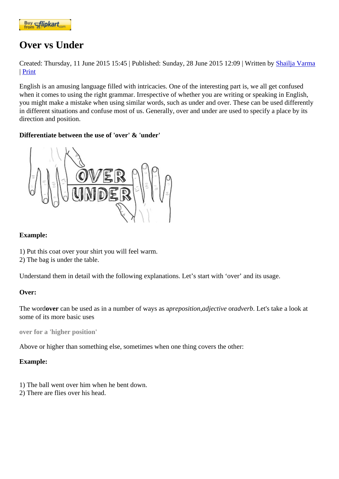## [Over vs Und](https://www.flipkart.com/spoken-english-3rd/p/itmezunpyjy5xcc7?pid=9789339221461&affid=kaminiraw)er

Created: Thursday, 11 June 2015 15: Published: Sunday, 28 June 2015 12: Watten by Shailja Varma | Print

English is an amusing language filled with intricacies. One of the interesting part is, we all get confused when it comes to using the right grammar. Irrespective of whether you are writing or [speaking in En](https://english.eagetutor.com/contact)glish, you might make a mistake when using similar words, such as under and over. These can be used differently in different situations and confuse most of us. Generally, over and under are used to specify a place by its direction and position.

Differentiate between the use of 'over' & 'under'

Example:

- [1\) Put this coat over your shirt you will feel warm.](http://www.eagetutor.com/)
- 2) The bag is under the table.

Understand them in detail with the following explanations. Let's start with 'over' and its usage.

Over:

The wordover can be used as in a number of ways passition adjective oradverb. Let's take a look at some of its more basic uses

over for a 'higher position'

Above or higher than something else, sometimes when one thing covers the other:

Example:

- 1) The ball went over him when he bent down.
- 2) There are flies over his head.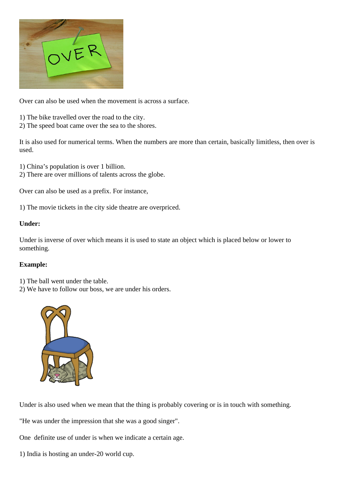[Over can also be used when the m](http://www.eagetutor.com/online-spoken-english.htm)ovement is across a surface.

- 1) The bike travelled over the road to the city.
- 2) The speed boat came over the sea to the shores.

It is also used for numerical terms. When the numbers are more than certain, basically limitless, then over is used.

1) China's population is over 1 billion.

2) There are over millions of talents across the globe.

Over can also be used as a prefix. For instance,

1) The movie tickets in the city side theatre are overpriced.

Under:

Under is inverse of over which means it is used to state an object which is placed below or lower to something.

Example:

- 1) The ball went under the table.
- 2) We have to follow our boss, we are under his orders.

[Under is also used when we m](http://www.eagetutor.com/course-info-in.htm)ean that the thing is probably covering or is in touch with something.

"He was under the impression that she was a good singer".

One definite use of under is when we indicate a certain age.

1) India is hosting an under-20 world cup.